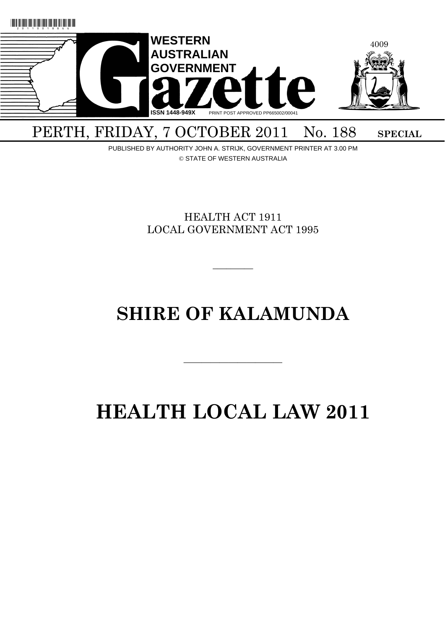

# PERTH, FRIDAY, 7 OCTOBER 2011 No. 188 SPECIAL

PUBLISHED BY AUTHORITY JOHN A. STRIJK, GOVERNMENT PRINTER AT 3.00 PM © STATE OF WESTERN AUSTRALIA

> HEALTH ACT 1911 LOCAL GOVERNMENT ACT 1995

> > $\overline{\phantom{a}}$   $\overline{\phantom{a}}$

# **SHIRE OF KALAMUNDA**

———————————

# **HEALTH LOCAL LAW 2011**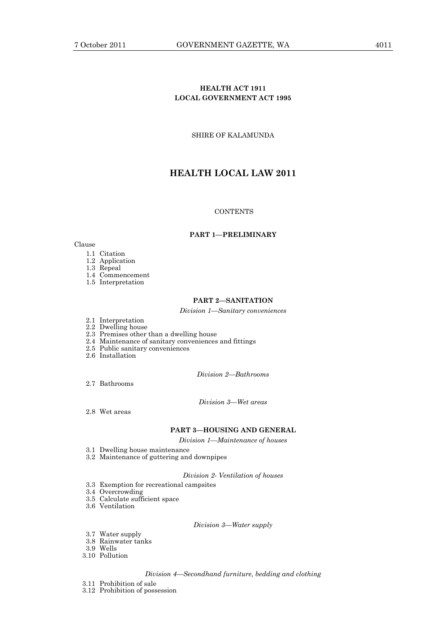# **HEALTH ACT 1911 LOCAL GOVERNMENT ACT 1995**

SHIRE OF KALAMUNDA

# **HEALTH LOCAL LAW 2011**

# **CONTENTS**

# **PART 1—PRELIMINARY**

# Clause

- 1.1 Citation
- 1.2 Application

1.3 Repeal

- 1.4 Commencement
- 1.5 Interpretation

## **PART 2—SANITATION**

*Division 1—Sanitary conveniences* 

- 2.1 Interpretation
- 2.2 Dwelling house
	- 2.3 Premises other than a dwelling house
	- 2.4 Maintenance of sanitary conveniences and fittings
	- 2.5 Public sanitary conveniences
	- 2.6 Installation

*Division 2—Bathrooms* 

2.7 Bathrooms

*Division 3—Wet areas* 

2.8 Wet areas

# **PART 3—HOUSING AND GENERAL**

*Division 1—Maintenance of houses* 

- 3.1 Dwelling house maintenance
- 3.2 Maintenance of guttering and downpipes

*Division 2- Ventilation of houses* 

- 3.3 Exemption for recreational campsites
- 3.4 Overcrowding
- 3.5 Calculate sufficient space
- 3.6 Ventilation

## *Division 3—Water supply*

- 3.7 Water supply
- 3.8 Rainwater tanks
- 3.9 Wells
	- 3.10 Pollution

### *Division 4—Secondhand furniture, bedding and clothing*

- 3.11 Prohibition of sale
- 3.12 Prohibition of possession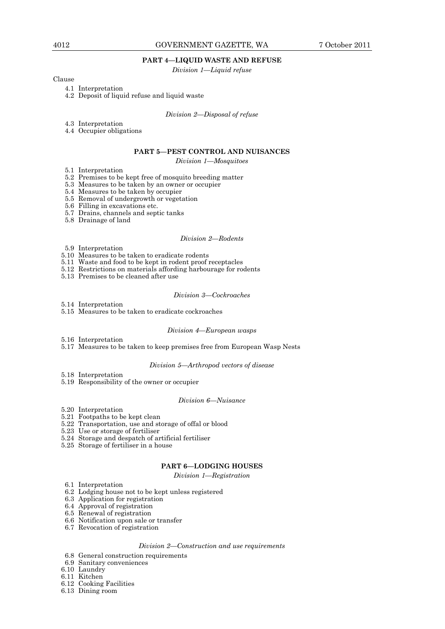## **PART 4—LIQUID WASTE AND REFUSE**

*Division 1—Liquid refuse* 

Clause

4.1 Interpretation

4.2 Deposit of liquid refuse and liquid waste

*Division 2—Disposal of refuse* 

- 4.3 Interpretation
- 4.4 Occupier obligations

# **PART 5—PEST CONTROL AND NUISANCES**

## *Division 1—Mosquitoes*

- 5.1 Interpretation
- 5.2 Premises to be kept free of mosquito breeding matter
- 5.3 Measures to be taken by an owner or occupier
- 5.4 Measures to be taken by occupier
- 5.5 Removal of undergrowth or vegetation
- 5.6 Filling in excavations etc.
- 5.7 Drains, channels and septic tanks
	- 5.8 Drainage of land

## *Division 2—Rodents*

- 5.9 Interpretation
- 5.10 Measures to be taken to eradicate rodents
- 5.11 Waste and food to be kept in rodent proof receptacles
- 5.12 Restrictions on materials affording harbourage for rodents
- 5.13 Premises to be cleaned after use

#### *Division 3—Cockroaches*

- 5.14 Interpretation
- 5.15 Measures to be taken to eradicate cockroaches

#### *Division 4—European wasps*

- 5.16 Interpretation
- 5.17 Measures to be taken to keep premises free from European Wasp Nests

## *Division 5—Arthropod vectors of disease*

- 5.18 Interpretation
- 5.19 Responsibility of the owner or occupier

## *Division 6—Nuisance*

- 5.20 Interpretation
- 5.21 Footpaths to be kept clean
- 5.22 Transportation, use and storage of offal or blood
- 5.23 Use or storage of fertiliser
- 5.24 Storage and despatch of artificial fertiliser
- 5.25 Storage of fertiliser in a house

## **PART 6—LODGING HOUSES**

#### *Division 1—Registration*

- 6.1 Interpretation
- 6.2 Lodging house not to be kept unless registered
- 6.3 Application for registration
- 6.4 Approval of registration
- 6.5 Renewal of registration
- 6.6 Notification upon sale or transfer
- 6.7 Revocation of registration

# *Division 2—Construction and use requirements*

- 6.8 General construction requirements
- 6.9 Sanitary conveniences
- 6.10 Laundry
- 6.11 Kitchen
- 6.12 Cooking Facilities
- 6.13 Dining room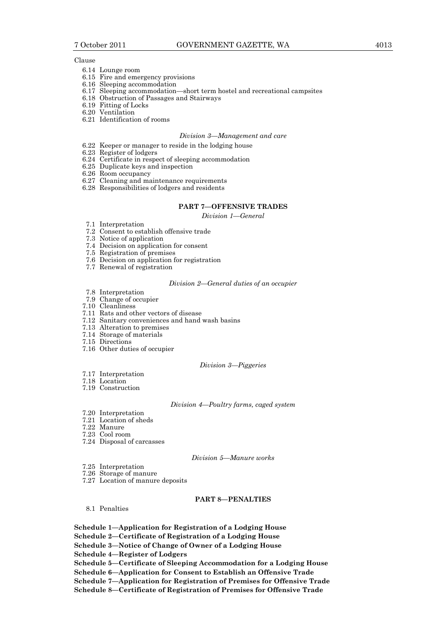## Clause

- 6.14 Lounge room
- 6.15 Fire and emergency provisions
- 6.16 Sleeping accommodation
- 6.17 Sleeping accommodation—short term hostel and recreational campsites
- 6.18 Obstruction of Passages and Stairways
- 6.19 Fitting of Locks
- 6.20 Ventilation
- 6.21 Identification of rooms

# *Division 3—Management and care*

- 6.22 Keeper or manager to reside in the lodging house
- 6.23 Register of lodgers
- 6.24 Certificate in respect of sleeping accommodation
- 6.25 Duplicate keys and inspection
- 6.26 Room occupancy
- 6.27 Cleaning and maintenance requirements
- 6.28 Responsibilities of lodgers and residents

## **PART 7—OFFENSIVE TRADES**

## *Division 1—General*

- 7.1 Interpretation
- 7.2 Consent to establish offensive trade
- 7.3 Notice of application
- 7.4 Decision on application for consent
- 7.5 Registration of premises
- 7.6 Decision on application for registration
- 7.7 Renewal of registration

## *Division 2—General duties of an occupier*

- 7.8 Interpretation
- 7.9 Change of occupier 7.10 Cleanliness
- 
- 7.11 Rats and other vectors of disease
- 7.12 Sanitary conveniences and hand wash basins
- 7.13 Alteration to premises
- 7.14 Storage of materials
- 7.15 Directions
- 7.16 Other duties of occupier

## *Division 3—Piggeries*

- 7.17 Interpretation
- 7.18 Location
- 7.19 Construction

*Division 4—Poultry farms, caged system* 

- 7.20 Interpretation
- 7.21 Location of sheds
- 7.22 Manure
- 7.23 Cool room
- 7.24 Disposal of carcasses

*Division 5—Manure works* 

- 7.25 Interpretation
- 7.26 Storage of manure
- 7.27 Location of manure deposits

# **PART 8—PENALTIES**

8.1 Penalties

**Schedule 1—Application for Registration of a Lodging House** 

**Schedule 2—Certificate of Registration of a Lodging House** 

**Schedule 3—Notice of Change of Owner of a Lodging House** 

**Schedule 4—Register of Lodgers** 

**Schedule 5—Certificate of Sleeping Accommodation for a Lodging House** 

**Schedule 6—Application for Consent to Establish an Offensive Trade** 

- **Schedule 7—Application for Registration of Premises for Offensive Trade**
- **Schedule 8—Certificate of Registration of Premises for Offensive Trade**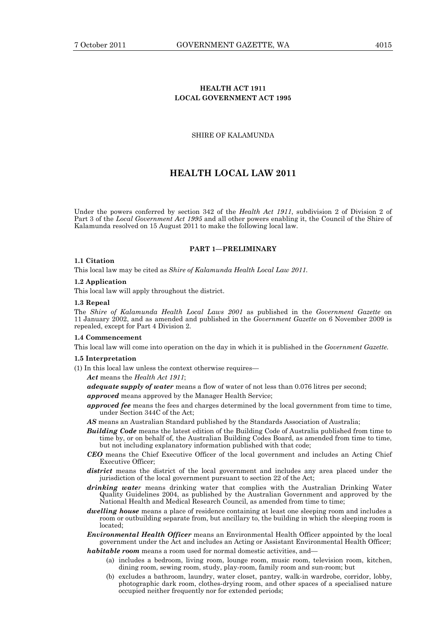# **HEALTH ACT 1911 LOCAL GOVERNMENT ACT 1995**

# SHIRE OF KALAMUNDA

# **HEALTH LOCAL LAW 2011**

Under the powers conferred by section 342 of the *Health Act 1911*, subdivision 2 of Division 2 of Part 3 of the *Local Government Act 1995* and all other powers enabling it, the Council of the Shire of Kalamunda resolved on 15 August 2011 to make the following local law.

## **PART 1—PRELIMINARY**

# **1.1 Citation**

This local law may be cited as *Shire of Kalamunda Health Local Law 2011.*

## **1.2 Application**

This local law will apply throughout the district.

#### **1.3 Repeal**

The *Shire of Kalamunda Health Local Laws 2001* as published in the *Government Gazette* on 11 January 2002, and as amended and published in the *Government Gazette* on 6 November 2009 is repealed, except for Part 4 Division 2.

# **1.4 Commencement**

This local law will come into operation on the day in which it is published in the *Government Gazette.*

## **1.5 Interpretation**

(1) In this local law unless the context otherwise requires—

*Act* means the *Health Act 1911*;

*adequate supply of water* means a flow of water of not less than 0.076 litres per second;

*approved* means approved by the Manager Health Service;

- **approved fee** means the fees and charges determined by the local government from time to time, under Section 344C of the Act;
- *AS* means an Australian Standard published by the Standards Association of Australia;
- *Building Code* means the latest edition of the Building Code of Australia published from time to time by, or on behalf of, the Australian Building Codes Board, as amended from time to time, but not including explanatory information published with that code;
- *CEO* means the Chief Executive Officer of the local government and includes an Acting Chief Executive Officer;
- *district* means the district of the local government and includes any area placed under the jurisdiction of the local government pursuant to section 22 of the Act;
- *drinking water* means drinking water that complies with the Australian Drinking Water Quality Guidelines 2004, as published by the Australian Government and approved by the National Health and Medical Research Council, as amended from time to time;
- *dwelling house* means a place of residence containing at least one sleeping room and includes a room or outbuilding separate from, but ancillary to, the building in which the sleeping room is located;
- *Environmental Health Officer* means an Environmental Health Officer appointed by the local government under the Act and includes an Acting or Assistant Environmental Health Officer;

*habitable room* means a room used for normal domestic activities, and—

- (a) includes a bedroom, living room, lounge room, music room, television room, kitchen, dining room, sewing room, study, play-room, family room and sun-room; but
- (b) excludes a bathroom, laundry, water closet, pantry, walk-in wardrobe, corridor, lobby, photographic dark room, clothes-drying room, and other spaces of a specialised nature occupied neither frequently nor for extended periods;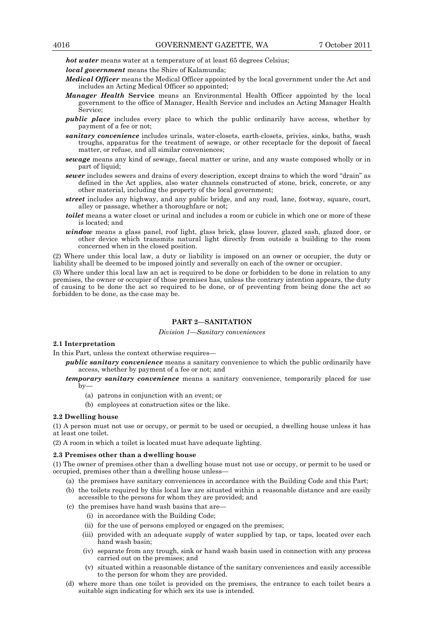*hot water* means water at a temperature of at least 65 degrees Celsius;

*local government* means the Shire of Kalamunda;

- *Medical Officer* means the Medical Officer appointed by the local government under the Act and includes an Acting Medical Officer so appointed;
- *Manager Health* **Service** means an Environmental Health Officer appointed by the local government to the office of Manager, Health Service and includes an Acting Manager Health Service;
- *public place* includes every place to which the public ordinarily have access, whether by payment of a fee or not;
- *sanitary convenience* includes urinals, water-closets, earth-closets, privies, sinks, baths, wash troughs, apparatus for the treatment of sewage, or other receptacle for the deposit of faecal matter, or refuse, and all similar conveniences;
- *sewage* means any kind of sewage, faecal matter or urine, and any waste composed wholly or in part of liquid;
- *sewer* includes sewers and drains of every description, except drains to which the word "drain" as defined in the Act applies, also water channels constructed of stone, brick, concrete, or any other material, including the property of the local government;
- *street* includes any highway, and any public bridge, and any road, lane, footway, square, court, alley or passage, whether a thoroughfare or not;
- *toilet* means a water closet or urinal and includes a room or cubicle in which one or more of these is located; and
- window means a glass panel, roof light, glass brick, glass louver, glazed sash, glazed door, or other device which transmits natural light directly from outside a building to the room concerned when in the closed position.

(2) Where under this local law, a duty or liability is imposed on an owner or occupier, the duty or liability shall be deemed to be imposed jointly and severally on each of the owner or occupier.

(3) Where under this local law an act is required to be done or forbidden to be done in relation to any premises, the owner or occupier of those premises has, unless the contrary intention appears, the duty of causing to be done the act so required to be done, or of preventing from being done the act so forbidden to be done, as the case may be.

# **PART 2—SANITATION**

# *Division 1—Sanitary conveniences*

# **2.1 Interpretation**

In this Part, unless the context otherwise requires—

- *public sanitary convenience* means a sanitary convenience to which the public ordinarily have access, whether by payment of a fee or not; and
- *temporary sanitary convenience* means a sanitary convenience, temporarily placed for use  $\bar{b}v$ —
	- (a) patrons in conjunction with an event; or
	- (b) employees at construction sites or the like.

## **2.2 Dwelling house**

(1) A person must not use or occupy, or permit to be used or occupied, a dwelling house unless it has at least one toilet.

(2) A room in which a toilet is located must have adequate lighting.

## **2.3 Premises other than a dwelling house**

(1) The owner of premises other than a dwelling house must not use or occupy, or permit to be used or occupied, premises other than a dwelling house unless—

- (a) the premises have sanitary conveniences in accordance with the Building Code and this Part;
- (b) the toilets required by this local law are situated within a reasonable distance and are easily accessible to the persons for whom they are provided; and
- (c) the premises have hand wash basins that are—
	- (i) in accordance with the Building Code;
	- (ii) for the use of persons employed or engaged on the premises;
	- (iii) provided with an adequate supply of water supplied by tap, or taps, located over each hand wash basin;
	- (iv) separate from any trough, sink or hand wash basin used in connection with any process carried out on the premises; and
	- (v) situated within a reasonable distance of the sanitary conveniences and easily accessible to the person for whom they are provided.
- (d) where more than one toilet is provided on the premises, the entrance to each toilet bears a suitable sign indicating for which sex its use is intended.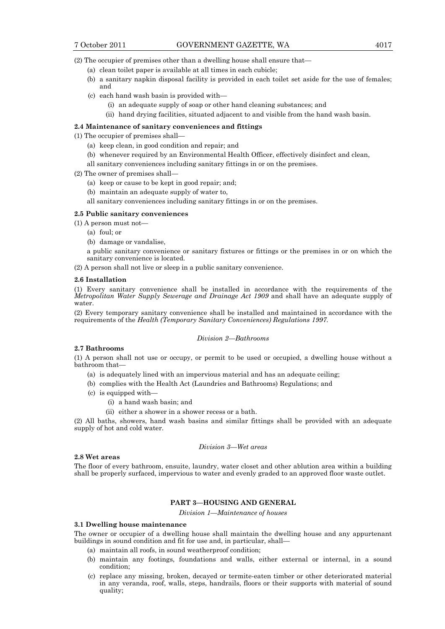(2) The occupier of premises other than a dwelling house shall ensure that—

- (a) clean toilet paper is available at all times in each cubicle;
- (b) a sanitary napkin disposal facility is provided in each toilet set aside for the use of females; and
- (c) each hand wash basin is provided with—
	- (i) an adequate supply of soap or other hand cleaning substances; and
	- (ii) hand drying facilities, situated adjacent to and visible from the hand wash basin.

## **2.4 Maintenance of sanitary conveniences and fittings**

- (1) The occupier of premises shall—
	- (a) keep clean, in good condition and repair; and
	- (b) whenever required by an Environmental Health Officer, effectively disinfect and clean,
	- all sanitary conveniences including sanitary fittings in or on the premises.
- (2) The owner of premises shall—
	- (a) keep or cause to be kept in good repair; and;
	- (b) maintain an adequate supply of water to,
	- all sanitary conveniences including sanitary fittings in or on the premises.

## **2.5 Public sanitary conveniences**

(1) A person must not—

- (a) foul; or
- (b) damage or vandalise,

a public sanitary convenience or sanitary fixtures or fittings or the premises in or on which the sanitary convenience is located.

(2) A person shall not live or sleep in a public sanitary convenience.

### **2.6 Installation**

(1) Every sanitary convenience shall be installed in accordance with the requirements of the *Metropolitan Water Supply Sewerage and Drainage Act 1909* and shall have an adequate supply of water.

(2) Every temporary sanitary convenience shall be installed and maintained in accordance with the requirements of the *Health (Temporary Sanitary Conveniences) Regulations 1997.*

## *Division 2—Bathrooms*

# **2.7 Bathrooms**

(1) A person shall not use or occupy, or permit to be used or occupied, a dwelling house without a bathroom that—

- (a) is adequately lined with an impervious material and has an adequate ceiling;
- (b) complies with the Health Act (Laundries and Bathrooms) Regulations; and
- (c) is equipped with—
	- (i) a hand wash basin; and
	- (ii) either a shower in a shower recess or a bath.

(2) All baths, showers, hand wash basins and similar fittings shall be provided with an adequate supply of hot and cold water.

## *Division 3—Wet areas*

# **2.8 Wet areas**

The floor of every bathroom, ensuite, laundry, water closet and other ablution area within a building shall be properly surfaced, impervious to water and evenly graded to an approved floor waste outlet.

# **PART 3—HOUSING AND GENERAL**

*Division 1—Maintenance of houses* 

#### **3.1 Dwelling house maintenance**

The owner or occupier of a dwelling house shall maintain the dwelling house and any appurtenant buildings in sound condition and fit for use and, in particular, shall—

- (a) maintain all roofs, in sound weatherproof condition;
- (b) maintain any footings, foundations and walls, either external or internal, in a sound condition;
- (c) replace any missing, broken, decayed or termite-eaten timber or other deteriorated material in any veranda, roof, walls, steps, handrails, floors or their supports with material of sound quality;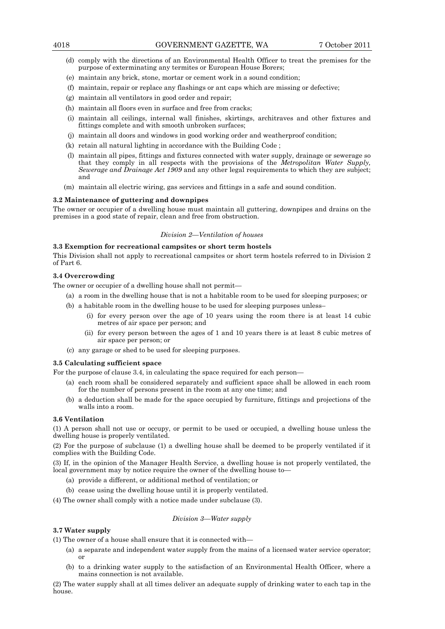- (d) comply with the directions of an Environmental Health Officer to treat the premises for the purpose of exterminating any termites or European House Borers;
- (e) maintain any brick, stone, mortar or cement work in a sound condition;
- (f) maintain, repair or replace any flashings or ant caps which are missing or defective;
- (g) maintain all ventilators in good order and repair;
- (h) maintain all floors even in surface and free from cracks;
- (i) maintain all ceilings, internal wall finishes, skirtings, architraves and other fixtures and fittings complete and with smooth unbroken surfaces;
- (j) maintain all doors and windows in good working order and weatherproof condition;
- (k) retain all natural lighting in accordance with the Building Code ;
- (l) maintain all pipes, fittings and fixtures connected with water supply, drainage or sewerage so that they comply in all respects with the provisions of the *Metropolitan Water Supply, Sewerage and Drainage Act 1909* and any other legal requirements to which they are subject; and
- (m) maintain all electric wiring, gas services and fittings in a safe and sound condition.

## **3.2 Maintenance of guttering and downpipes**

The owner or occupier of a dwelling house must maintain all guttering, downpipes and drains on the premises in a good state of repair, clean and free from obstruction.

## *Division 2—Ventilation of houses*

## **3.3 Exemption for recreational campsites or short term hostels**

This Division shall not apply to recreational campsites or short term hostels referred to in Division 2 of Part 6.

## **3.4 Overcrowding**

The owner or occupier of a dwelling house shall not permit—

- (a) a room in the dwelling house that is not a habitable room to be used for sleeping purposes; or
- (b) a habitable room in the dwelling house to be used for sleeping purposes unless–
	- (i) for every person over the age of 10 years using the room there is at least 14 cubic metres of air space per person; and
	- (ii) for every person between the ages of 1 and 10 years there is at least 8 cubic metres of air space per person; or
- (c) any garage or shed to be used for sleeping purposes.

# **3.5 Calculating sufficient space**

For the purpose of clause 3.4, in calculating the space required for each person—

- (a) each room shall be considered separately and sufficient space shall be allowed in each room for the number of persons present in the room at any one time; and
- (b) a deduction shall be made for the space occupied by furniture, fittings and projections of the walls into a room.

## **3.6 Ventilation**

(1) A person shall not use or occupy, or permit to be used or occupied, a dwelling house unless the dwelling house is properly ventilated.

(2) For the purpose of subclause (1) a dwelling house shall be deemed to be properly ventilated if it complies with the Building Code.

(3) If, in the opinion of the Manager Health Service, a dwelling house is not properly ventilated, the local government may by notice require the owner of the dwelling house to—

- (a) provide a different, or additional method of ventilation; or
- (b) cease using the dwelling house until it is properly ventilated.

(4) The owner shall comply with a notice made under subclause (3).

## *Division 3—Water supply*

# **3.7 Water supply**

(1) The owner of a house shall ensure that it is connected with—

- (a) a separate and independent water supply from the mains of a licensed water service operator; or
- (b) to a drinking water supply to the satisfaction of an Environmental Health Officer, where a mains connection is not available.

(2) The water supply shall at all times deliver an adequate supply of drinking water to each tap in the house.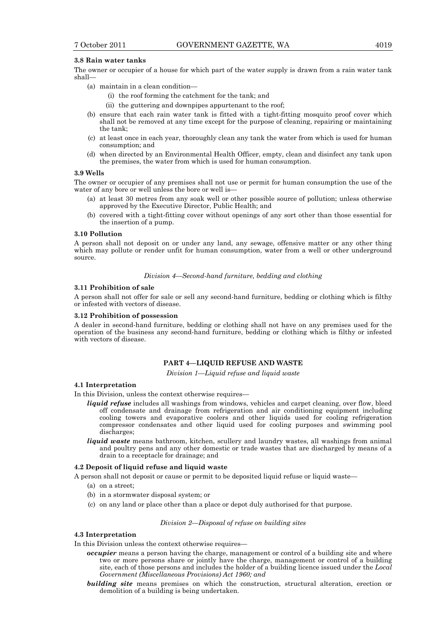## **3.8 Rain water tanks**

The owner or occupier of a house for which part of the water supply is drawn from a rain water tank shall—

- (a) maintain in a clean condition—
	- (i) the roof forming the catchment for the tank; and
	- (ii) the guttering and downpipes appurtenant to the roof;
- (b) ensure that each rain water tank is fitted with a tight-fitting mosquito proof cover which shall not be removed at any time except for the purpose of cleaning, repairing or maintaining the tank;
- (c) at least once in each year, thoroughly clean any tank the water from which is used for human consumption; and
- (d) when directed by an Environmental Health Officer, empty, clean and disinfect any tank upon the premises, the water from which is used for human consumption.

## **3.9 Wells**

The owner or occupier of any premises shall not use or permit for human consumption the use of the water of any bore or well unless the bore or well is—

- (a) at least 30 metres from any soak well or other possible source of pollution; unless otherwise approved by the Executive Director, Public Health; and
- (b) covered with a tight-fitting cover without openings of any sort other than those essential for the insertion of a pump.

#### **3.10 Pollution**

A person shall not deposit on or under any land, any sewage, offensive matter or any other thing which may pollute or render unfit for human consumption, water from a well or other underground source.

## *Division 4—Second-hand furniture, bedding and clothing*

## **3.11 Prohibition of sale**

A person shall not offer for sale or sell any second-hand furniture, bedding or clothing which is filthy or infested with vectors of disease.

## **3.12 Prohibition of possession**

A dealer in second-hand furniture, bedding or clothing shall not have on any premises used for the operation of the business any second-hand furniture, bedding or clothing which is filthy or infested with vectors of disease.

# **PART 4—LIQUID REFUSE AND WASTE**

*Division 1—Liquid refuse and liquid waste* 

## **4.1 Interpretation**

In this Division, unless the context otherwise requires—

- *liquid refuse* includes all washings from windows, vehicles and carpet cleaning, over flow, bleed off condensate and drainage from refrigeration and air conditioning equipment including cooling towers and evaporative coolers and other liquids used for cooling refrigeration compressor condensates and other liquid used for cooling purposes and swimming pool discharges;
- *liquid waste* means bathroom, kitchen, scullery and laundry wastes, all washings from animal and poultry pens and any other domestic or trade wastes that are discharged by means of a drain to a receptacle for drainage; and

#### **4.2 Deposit of liquid refuse and liquid waste**

A person shall not deposit or cause or permit to be deposited liquid refuse or liquid waste—

- (a) on a street;
- (b) in a stormwater disposal system; or
- (c) on any land or place other than a place or depot duly authorised for that purpose.

#### *Division 2—Disposal of refuse on building sites*

## **4.3 Interpretation**

In this Division unless the context otherwise requires—

- *occupier* means a person having the charge, management or control of a building site and where two or more persons share or jointly have the charge, management or control of a building site, each of those persons and includes the holder of a building licence issued under the *Local Government (Miscellaneous Provisions) Act 1960; and*
- *building site* means premises on which the construction, structural alteration, erection or demolition of a building is being undertaken.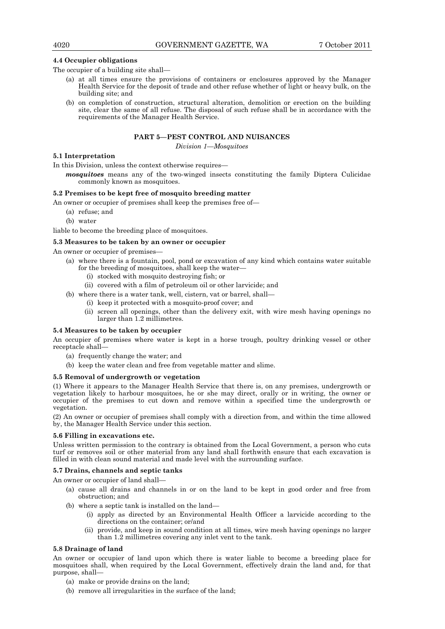# **4.4 Occupier obligations**

The occupier of a building site shall—

- (a) at all times ensure the provisions of containers or enclosures approved by the Manager Health Service for the deposit of trade and other refuse whether of light or heavy bulk, on the building site; and
- (b) on completion of construction, structural alteration, demolition or erection on the building site, clear the same of all refuse. The disposal of such refuse shall be in accordance with the requirements of the Manager Health Service.

# **PART 5—PEST CONTROL AND NUISANCES**

*Division 1—Mosquitoes* 

## **5.1 Interpretation**

In this Division, unless the context otherwise requires—

*mosquitoes* means any of the two-winged insects constituting the family Diptera Culicidae commonly known as mosquitoes.

# **5.2 Premises to be kept free of mosquito breeding matter**

An owner or occupier of premises shall keep the premises free of—

- (a) refuse; and
- (b) water

liable to become the breeding place of mosquitoes.

## **5.3 Measures to be taken by an owner or occupier**

An owner or occupier of premises

- (a) where there is a fountain, pool, pond or excavation of any kind which contains water suitable for the breeding of mosquitoes, shall keep the water-
	- (i) stocked with mosquito destroying fish; or
	- (ii) covered with a film of petroleum oil or other larvicide; and

(b) where there is a water tank, well, cistern, vat or barrel, shall—

- (i) keep it protected with a mosquito-proof cover; and
- (ii) screen all openings, other than the delivery exit, with wire mesh having openings no larger than 1.2 millimetres.

## **5.4 Measures to be taken by occupier**

An occupier of premises where water is kept in a horse trough, poultry drinking vessel or other receptacle shall—

- (a) frequently change the water; and
- (b) keep the water clean and free from vegetable matter and slime.

## **5.5 Removal of undergrowth or vegetation**

(1) Where it appears to the Manager Health Service that there is, on any premises, undergrowth or vegetation likely to harbour mosquitoes, he or she may direct, orally or in writing, the owner or occupier of the premises to cut down and remove within a specified time the undergrowth or vegetation.

(2) An owner or occupier of premises shall comply with a direction from, and within the time allowed by, the Manager Health Service under this section.

# **5.6 Filling in excavations etc.**

Unless written permission to the contrary is obtained from the Local Government, a person who cuts turf or removes soil or other material from any land shall forthwith ensure that each excavation is filled in with clean sound material and made level with the surrounding surface.

## **5.7 Drains, channels and septic tanks**

An owner or occupier of land shall—

- (a) cause all drains and channels in or on the land to be kept in good order and free from obstruction; and
- (b) where a septic tank is installed on the land—
	- (i) apply as directed by an Environmental Health Officer a larvicide according to the directions on the container; or/and
	- (ii) provide, and keep in sound condition at all times, wire mesh having openings no larger than 1.2 millimetres covering any inlet vent to the tank.

## **5.8 Drainage of land**

An owner or occupier of land upon which there is water liable to become a breeding place for mosquitoes shall, when required by the Local Government, effectively drain the land and, for that purpose, shall—

- (a) make or provide drains on the land;
- (b) remove all irregularities in the surface of the land;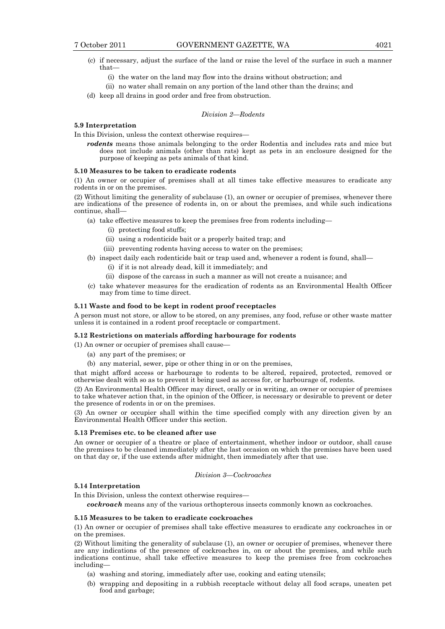- (c) if necessary, adjust the surface of the land or raise the level of the surface in such a manner that—
	- (i) the water on the land may flow into the drains without obstruction; and
	- (ii) no water shall remain on any portion of the land other than the drains; and
- (d) keep all drains in good order and free from obstruction.

#### *Division 2—Rodents*

# **5.9 Interpretation**

In this Division, unless the context otherwise requires—

*rodents* means those animals belonging to the order Rodentia and includes rats and mice but does not include animals (other than rats) kept as pets in an enclosure designed for the purpose of keeping as pets animals of that kind.

# **5.10 Measures to be taken to eradicate rodents**

(1) An owner or occupier of premises shall at all times take effective measures to eradicate any rodents in or on the premises.

(2) Without limiting the generality of subclause (1), an owner or occupier of premises, whenever there are indications of the presence of rodents in, on or about the premises, and while such indications continue, shall—

- (a) take effective measures to keep the premises free from rodents including—
	- (i) protecting food stuffs;
	- (ii) using a rodenticide bait or a properly baited trap; and
	- (iii) preventing rodents having access to water on the premises;
- (b) inspect daily each rodenticide bait or trap used and, whenever a rodent is found, shall—
	- (i) if it is not already dead, kill it immediately; and
	- (ii) dispose of the carcass in such a manner as will not create a nuisance; and
- (c) take whatever measures for the eradication of rodents as an Environmental Health Officer may from time to time direct.

# **5.11 Waste and food to be kept in rodent proof receptacles**

A person must not store, or allow to be stored, on any premises, any food, refuse or other waste matter unless it is contained in a rodent proof receptacle or compartment.

### **5.12 Restrictions on materials affording harbourage for rodents**

(1) An owner or occupier of premises shall cause—

- (a) any part of the premises; or
- (b) any material, sewer, pipe or other thing in or on the premises,

that might afford access or harbourage to rodents to be altered, repaired, protected, removed or otherwise dealt with so as to prevent it being used as access for, or harbourage of, rodents.

(2) An Environmental Health Officer may direct, orally or in writing, an owner or occupier of premises to take whatever action that, in the opinion of the Officer, is necessary or desirable to prevent or deter the presence of rodents in or on the premises.

(3) An owner or occupier shall within the time specified comply with any direction given by an Environmental Health Officer under this section.

#### **5.13 Premises etc. to be cleaned after use**

An owner or occupier of a theatre or place of entertainment, whether indoor or outdoor, shall cause the premises to be cleaned immediately after the last occasion on which the premises have been used on that day or, if the use extends after midnight, then immediately after that use.

# *Division 3—Cockroaches*

## **5.14 Interpretation**

In this Division, unless the context otherwise requires—

*cockroach* means any of the various orthopterous insects commonly known as cockroaches.

# **5.15 Measures to be taken to eradicate cockroaches**

(1) An owner or occupier of premises shall take effective measures to eradicate any cockroaches in or on the premises.

(2) Without limiting the generality of subclause (1), an owner or occupier of premises, whenever there are any indications of the presence of cockroaches in, on or about the premises, and while such indications continue, shall take effective measures to keep the premises free from cockroaches including—

- (a) washing and storing, immediately after use, cooking and eating utensils;
- (b) wrapping and depositing in a rubbish receptacle without delay all food scraps, uneaten pet food and garbage;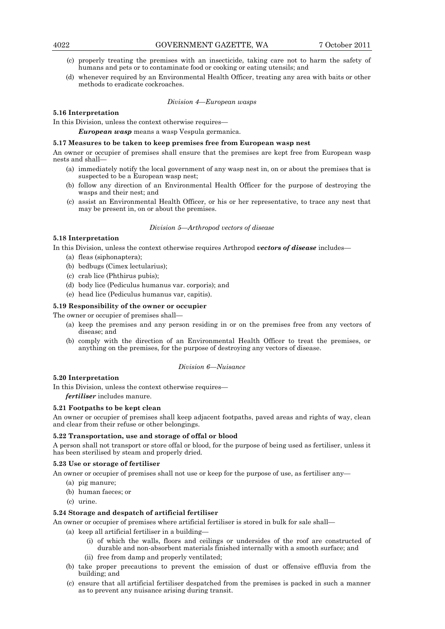- (c) properly treating the premises with an insecticide, taking care not to harm the safety of humans and pets or to contaminate food or cooking or eating utensils; and
- (d) whenever required by an Environmental Health Officer, treating any area with baits or other methods to eradicate cockroaches.

## *Division 4—European wasps*

# **5.16 Interpretation**

In this Division, unless the context otherwise requires—

*European wasp* means a wasp Vespula germanica.

## **5.17 Measures to be taken to keep premises free from European wasp nest**

An owner or occupier of premises shall ensure that the premises are kept free from European wasp nests and shall—

- (a) immediately notify the local government of any wasp nest in, on or about the premises that is suspected to be a European wasp nest;
- (b) follow any direction of an Environmental Health Officer for the purpose of destroying the wasps and their nest; and
- (c) assist an Environmental Health Officer, or his or her representative, to trace any nest that may be present in, on or about the premises.

## *Division 5—Arthropod vectors of disease*

# **5.18 Interpretation**

In this Division, unless the context otherwise requires Arthropod *vectors of disease* includes—

- (a) fleas (siphonaptera);
- (b) bedbugs (Cimex lectularius);
- (c) crab lice (Phthirus pubis);
- (d) body lice (Pediculus humanus var. corporis); and
- (e) head lice (Pediculus humanus var, capitis).

# **5.19 Responsibility of the owner or occupier**

The owner or occupier of premises shall—

- (a) keep the premises and any person residing in or on the premises free from any vectors of disease; and
- (b) comply with the direction of an Environmental Health Officer to treat the premises, or anything on the premises, for the purpose of destroying any vectors of disease.

## *Division 6—Nuisance*

# **5.20 Interpretation**

In this Division, unless the context otherwise requires—

*fertiliser* includes manure.

# **5.21 Footpaths to be kept clean**

An owner or occupier of premises shall keep adjacent footpaths, paved areas and rights of way, clean and clear from their refuse or other belongings.

# **5.22 Transportation, use and storage of offal or blood**

A person shall not transport or store offal or blood, for the purpose of being used as fertiliser, unless it has been sterilised by steam and properly dried.

# **5.23 Use or storage of fertiliser**

An owner or occupier of premises shall not use or keep for the purpose of use, as fertiliser any—

- (a) pig manure;
- (b) human faeces; or
- (c) urine.

## **5.24 Storage and despatch of artificial fertiliser**

An owner or occupier of premises where artificial fertiliser is stored in bulk for sale shall—

(a) keep all artificial fertiliser in a building—

- (i) of which the walls, floors and ceilings or undersides of the roof are constructed of durable and non-absorbent materials finished internally with a smooth surface; and
- (ii) free from damp and properly ventilated;
- (b) take proper precautions to prevent the emission of dust or offensive effluvia from the building; and
- (c) ensure that all artificial fertiliser despatched from the premises is packed in such a manner as to prevent any nuisance arising during transit.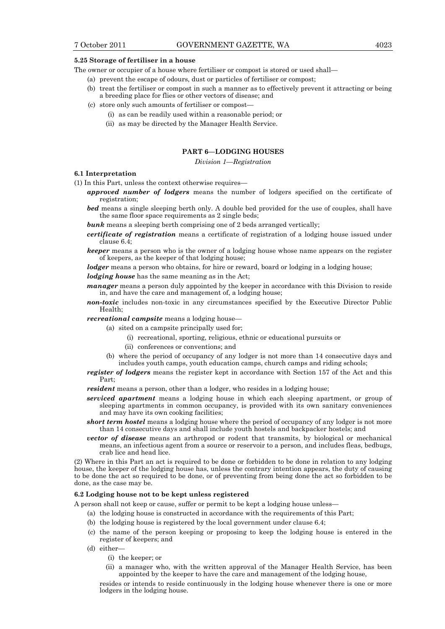## **5.25 Storage of fertiliser in a house**

The owner or occupier of a house where fertiliser or compost is stored or used shall—

- (a) prevent the escape of odours, dust or particles of fertiliser or compost;
- (b) treat the fertiliser or compost in such a manner as to effectively prevent it attracting or being a breeding place for flies or other vectors of disease; and
- (c) store only such amounts of fertiliser or compost—
	- (i) as can be readily used within a reasonable period; or
	- (ii) as may be directed by the Manager Health Service.

# **PART 6—LODGING HOUSES**

*Division 1—Registration* 

## **6.1 Interpretation**

(1) In this Part, unless the context otherwise requires—

- *approved number of lodgers* means the number of lodgers specified on the certificate of registration;
- *bed* means a single sleeping berth only. A double bed provided for the use of couples, shall have the same floor space requirements as 2 single beds;
- **bunk** means a sleeping berth comprising one of 2 beds arranged vertically;
- *certificate of registration* means a certificate of registration of a lodging house issued under clause 6.4;
- *keeper* means a person who is the owner of a lodging house whose name appears on the register of keepers, as the keeper of that lodging house;

*lodger* means a person who obtains, for hire or reward, board or lodging in a lodging house;

*lodging house* has the same meaning as in the Act;

- *manager* means a person duly appointed by the keeper in accordance with this Division to reside in, and have the care and management of, a lodging house;
- *non-toxic* includes non-toxic in any circumstances specified by the Executive Director Public Health;

# *recreational campsite* means a lodging house—

- (a) sited on a campsite principally used for;
	- (i) recreational, sporting, religious, ethnic or educational pursuits or
		- (ii) conferences or conventions; and
	- (b) where the period of occupancy of any lodger is not more than 14 consecutive days and includes youth camps, youth education camps, church camps and riding schools;
- *register of lodgers* means the register kept in accordance with Section 157 of the Act and this Part;
- *resident* means a person, other than a lodger, who resides in a lodging house;
- *serviced apartment* means a lodging house in which each sleeping apartment, or group of sleeping apartments in common occupancy, is provided with its own sanitary conveniences and may have its own cooking facilities;
- *short term hostel* means a lodging house where the period of occupancy of any lodger is not more than 14 consecutive days and shall include youth hostels and backpacker hostels; and
- *vector of disease* means an arthropod or rodent that transmits, by biological or mechanical means, an infectious agent from a source or reservoir to a person, and includes fleas, bedbugs, crab lice and head lice.

(2) Where in this Part an act is required to be done or forbidden to be done in relation to any lodging house, the keeper of the lodging house has, unless the contrary intention appears, the duty of causing to be done the act so required to be done, or of preventing from being done the act so forbidden to be done, as the case may be.

# **6.2 Lodging house not to be kept unless registered**

A person shall not keep or cause, suffer or permit to be kept a lodging house unless—

- (a) the lodging house is constructed in accordance with the requirements of this Part;
- (b) the lodging house is registered by the local government under clause 6.4;
- (c) the name of the person keeping or proposing to keep the lodging house is entered in the register of keepers; and
- (d) either—
	- (i) the keeper; or
	- (ii) a manager who, with the written approval of the Manager Health Service, has been appointed by the keeper to have the care and management of the lodging house,

resides or intends to reside continuously in the lodging house whenever there is one or more lodgers in the lodging house.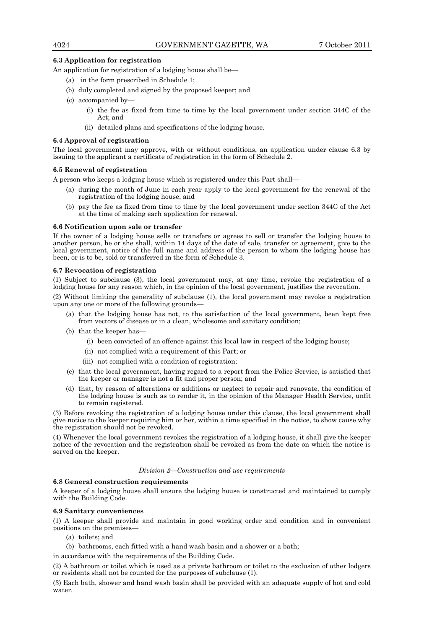## **6.3 Application for registration**

An application for registration of a lodging house shall be—

- (a) in the form prescribed in Schedule 1;
- (b) duly completed and signed by the proposed keeper; and
- (c) accompanied by—
	- (i) the fee as fixed from time to time by the local government under section 344C of the Act; and
	- (ii) detailed plans and specifications of the lodging house.

## **6.4 Approval of registration**

The local government may approve, with or without conditions, an application under clause 6.3 by issuing to the applicant a certificate of registration in the form of Schedule 2.

## **6.5 Renewal of registration**

A person who keeps a lodging house which is registered under this Part shall—

- (a) during the month of June in each year apply to the local government for the renewal of the registration of the lodging house; and
- (b) pay the fee as fixed from time to time by the local government under section 344C of the Act at the time of making each application for renewal.

## **6.6 Notification upon sale or transfer**

If the owner of a lodging house sells or transfers or agrees to sell or transfer the lodging house to another person, he or she shall, within 14 days of the date of sale, transfer or agreement, give to the local government, notice of the full name and address of the person to whom the lodging house has been, or is to be, sold or transferred in the form of Schedule 3.

## **6.7 Revocation of registration**

(1) Subject to subclause (3), the local government may, at any time, revoke the registration of a lodging house for any reason which, in the opinion of the local government, justifies the revocation.

(2) Without limiting the generality of subclause (1), the local government may revoke a registration upon any one or more of the following grounds—

- (a) that the lodging house has not, to the satisfaction of the local government, been kept free from vectors of disease or in a clean, wholesome and sanitary condition;
- (b) that the keeper has
	- (i) been convicted of an offence against this local law in respect of the lodging house;
	- (ii) not complied with a requirement of this Part; or
	- (iii) not complied with a condition of registration;
- (c) that the local government, having regard to a report from the Police Service, is satisfied that the keeper or manager is not a fit and proper person; and
- (d) that, by reason of alterations or additions or neglect to repair and renovate, the condition of the lodging house is such as to render it, in the opinion of the Manager Health Service, unfit to remain registered.

(3) Before revoking the registration of a lodging house under this clause, the local government shall give notice to the keeper requiring him or her, within a time specified in the notice, to show cause why the registration should not be revoked.

(4) Whenever the local government revokes the registration of a lodging house, it shall give the keeper notice of the revocation and the registration shall be revoked as from the date on which the notice is served on the keeper.

## *Division 2—Construction and use requirements*

## **6.8 General construction requirements**

A keeper of a lodging house shall ensure the lodging house is constructed and maintained to comply with the Building Code.

## **6.9 Sanitary conveniences**

(1) A keeper shall provide and maintain in good working order and condition and in convenient positions on the premises—

- (a) toilets; and
- (b) bathrooms, each fitted with a hand wash basin and a shower or a bath;

in accordance with the requirements of the Building Code.

(2) A bathroom or toilet which is used as a private bathroom or toilet to the exclusion of other lodgers or residents shall not be counted for the purposes of subclause (1).

(3) Each bath, shower and hand wash basin shall be provided with an adequate supply of hot and cold water.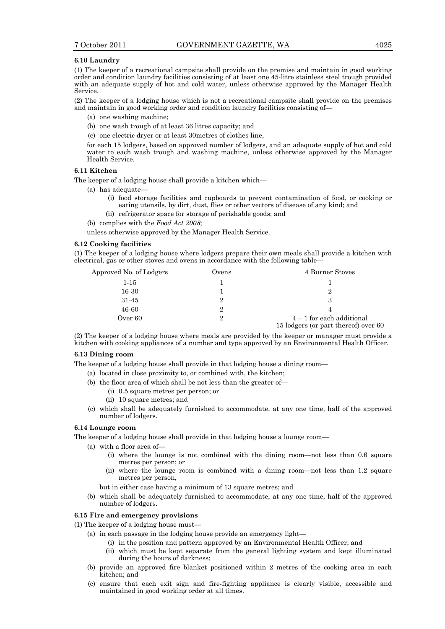## **6.10 Laundry**

(1) The keeper of a recreational campsite shall provide on the premise and maintain in good working order and condition laundry facilities consisting of at least one 45-litre stainless steel trough provided with an adequate supply of hot and cold water, unless otherwise approved by the Manager Health Service.

(2) The keeper of a lodging house which is not a recreational campsite shall provide on the premises and maintain in good working order and condition laundry facilities consisting of—

- (a) one washing machine;
- (b) one wash trough of at least 36 litres capacity; and
- (c) one electric dryer or at least 30metres of clothes line,

for each 15 lodgers, based on approved number of lodgers, and an adequate supply of hot and cold water to each wash trough and washing machine, unless otherwise approved by the Manager Health Service.

## **6.11 Kitchen**

The keeper of a lodging house shall provide a kitchen which—

- (a) has adequate—
	- (i) food storage facilities and cupboards to prevent contamination of food, or cooking or eating utensils, by dirt, dust, flies or other vectors of disease of any kind; and
	- (ii) refrigerator space for storage of perishable goods; and
- (b) complies with the *Food Act 2008*;

unless otherwise approved by the Manager Health Service.

# **6.12 Cooking facilities**

(1) The keeper of a lodging house where lodgers prepare their own meals shall provide a kitchen with electrical, gas or other stoves and ovens in accordance with the following table—

| Approved No. of Lodgers | Ovens | 4 Burner Stoves                                                     |
|-------------------------|-------|---------------------------------------------------------------------|
| $1-15$                  |       |                                                                     |
| 16-30                   |       | 2                                                                   |
| 31-45                   |       | З                                                                   |
| 46-60                   | 9     | 4                                                                   |
| Over 60                 | 2     | $4 + 1$ for each additional<br>15 lodgers (or part thereof) over 60 |

(2) The keeper of a lodging house where meals are provided by the keeper or manager must provide a kitchen with cooking appliances of a number and type approved by an Environmental Health Officer.

# **6.13 Dining room**

The keeper of a lodging house shall provide in that lodging house a dining room—

- (a) located in close proximity to, or combined with, the kitchen;
- (b) the floor area of which shall be not less than the greater of—
	- (i) 0.5 square metres per person; or
	- (ii) 10 square metres; and
- (c) which shall be adequately furnished to accommodate, at any one time, half of the approved number of lodgers.

# **6.14 Lounge room**

The keeper of a lodging house shall provide in that lodging house a lounge room—

- (a) with a floor area of—
	- (i) where the lounge is not combined with the dining room—not less than 0.6 square metres per person; or
	- (ii) where the lounge room is combined with a dining room—not less than 1.2 square metres per person,
	- but in either case having a minimum of 13 square metres; and
- (b) which shall be adequately furnished to accommodate, at any one time, half of the approved number of lodgers.

## **6.15 Fire and emergency provisions**

- (1) The keeper of a lodging house must—
	- (a) in each passage in the lodging house provide an emergency light—
		- (i) in the position and pattern approved by an Environmental Health Officer; and
		- (ii) which must be kept separate from the general lighting system and kept illuminated during the hours of darkness;
	- (b) provide an approved fire blanket positioned within 2 metres of the cooking area in each kitchen; and
	- (c) ensure that each exit sign and fire-fighting appliance is clearly visible, accessible and maintained in good working order at all times.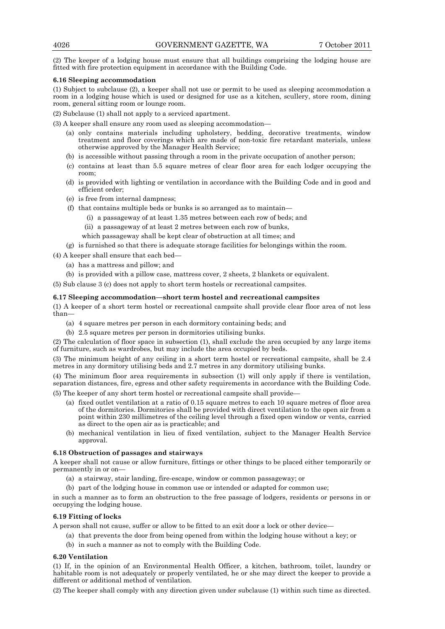(2) The keeper of a lodging house must ensure that all buildings comprising the lodging house are fitted with fire protection equipment in accordance with the Building Code.

# **6.16 Sleeping accommodation**

(1) Subject to subclause (2), a keeper shall not use or permit to be used as sleeping accommodation a room in a lodging house which is used or designed for use as a kitchen, scullery, store room, dining room, general sitting room or lounge room.

(2) Subclause (1) shall not apply to a serviced apartment.

(3) A keeper shall ensure any room used as sleeping accommodation—

- (a) only contains materials including upholstery, bedding, decorative treatments, window treatment and floor coverings which are made of non-toxic fire retardant materials, unless otherwise approved by the Manager Health Service;
- (b) is accessible without passing through a room in the private occupation of another person;
- (c) contains at least than 5.5 square metres of clear floor area for each lodger occupying the room;
- (d) is provided with lighting or ventilation in accordance with the Building Code and in good and efficient order;
- (e) is free from internal dampness;
- (f) that contains multiple beds or bunks is so arranged as to maintain—
	- (i) a passageway of at least 1.35 metres between each row of beds; and
	- (ii) a passageway of at least 2 metres between each row of bunks,
	- which passageway shall be kept clear of obstruction at all times; and
- (g) is furnished so that there is adequate storage facilities for belongings within the room.

(4) A keeper shall ensure that each bed—

- (a) has a mattress and pillow; and
- (b) is provided with a pillow case, mattress cover, 2 sheets, 2 blankets or equivalent.

(5) Sub clause 3 (c) does not apply to short term hostels or recreational campsites.

# **6.17 Sleeping accommodation—short term hostel and recreational campsites**

(1) A keeper of a short term hostel or recreational campsite shall provide clear floor area of not less than—

- (a) 4 square metres per person in each dormitory containing beds; and
- (b) 2.5 square metres per person in dormitories utilising bunks.

(2) The calculation of floor space in subsection (1), shall exclude the area occupied by any large items of furniture, such as wardrobes, but may include the area occupied by beds.

(3) The minimum height of any ceiling in a short term hostel or recreational campsite, shall be 2.4 metres in any dormitory utilising beds and 2.7 metres in any dormitory utilising bunks.

(4) The minimum floor area requirements in subsection (1) will only apply if there is ventilation, separation distances, fire, egress and other safety requirements in accordance with the Building Code.

(5) The keeper of any short term hostel or recreational campsite shall provide—

- (a) fixed outlet ventilation at a ratio of 0.15 square metres to each 10 square metres of floor area of the dormitories. Dormitories shall be provided with direct ventilation to the open air from a point within 230 millimetres of the ceiling level through a fixed open window or vents, carried as direct to the open air as is practicable; and
- (b) mechanical ventilation in lieu of fixed ventilation, subject to the Manager Health Service approval.

# **6.18 Obstruction of passages and stairways**

A keeper shall not cause or allow furniture, fittings or other things to be placed either temporarily or permanently in or on—

- (a) a stairway, stair landing, fire-escape, window or common passageway; or
- (b) part of the lodging house in common use or intended or adapted for common use;

in such a manner as to form an obstruction to the free passage of lodgers, residents or persons in or occupying the lodging house.

# **6.19 Fitting of locks**

A person shall not cause, suffer or allow to be fitted to an exit door a lock or other device—

- (a) that prevents the door from being opened from within the lodging house without a key; or
- (b) in such a manner as not to comply with the Building Code.

# **6.20 Ventilation**

(1) If, in the opinion of an Environmental Health Officer, a kitchen, bathroom, toilet, laundry or habitable room is not adequately or properly ventilated, he or she may direct the keeper to provide a different or additional method of ventilation.

(2) The keeper shall comply with any direction given under subclause (1) within such time as directed.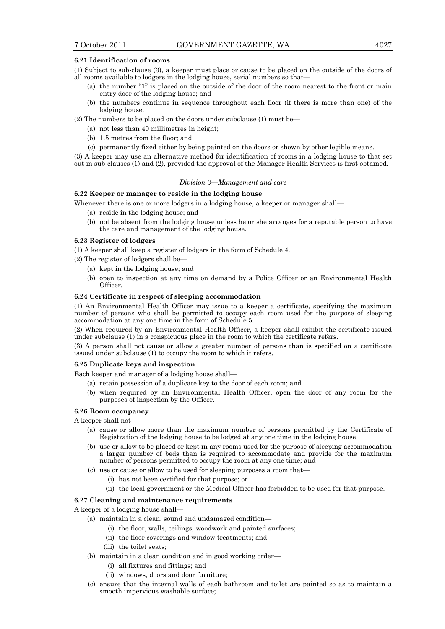## **6.21 Identification of rooms**

- (1) Subject to sub-clause (3), a keeper must place or cause to be placed on the outside of the doors of all rooms available to lodgers in the lodging house, serial numbers so that—
	- (a) the number "1" is placed on the outside of the door of the room nearest to the front or main entry door of the lodging house; and
	- (b) the numbers continue in sequence throughout each floor (if there is more than one) of the lodging house.

(2) The numbers to be placed on the doors under subclause (1) must be—

- (a) not less than 40 millimetres in height;
- (b) 1.5 metres from the floor; and
- (c) permanently fixed either by being painted on the doors or shown by other legible means.

(3) A keeper may use an alternative method for identification of rooms in a lodging house to that set out in sub-clauses (1) and (2), provided the approval of the Manager Health Services is first obtained.

## *Division 3—Management and care*

# **6.22 Keeper or manager to reside in the lodging house**

Whenever there is one or more lodgers in a lodging house, a keeper or manager shall—

- (a) reside in the lodging house; and
- (b) not be absent from the lodging house unless he or she arranges for a reputable person to have the care and management of the lodging house.

# **6.23 Register of lodgers**

(1) A keeper shall keep a register of lodgers in the form of Schedule 4.

- (2) The register of lodgers shall be—
	- (a) kept in the lodging house; and
	- (b) open to inspection at any time on demand by a Police Officer or an Environmental Health Officer.

## **6.24 Certificate in respect of sleeping accommodation**

(1) An Environmental Health Officer may issue to a keeper a certificate, specifying the maximum number of persons who shall be permitted to occupy each room used for the purpose of sleeping accommodation at any one time in the form of Schedule 5.

(2) When required by an Environmental Health Officer, a keeper shall exhibit the certificate issued under subclause (1) in a conspicuous place in the room to which the certificate refers.

(3) A person shall not cause or allow a greater number of persons than is specified on a certificate issued under subclause (1) to occupy the room to which it refers.

# **6.25 Duplicate keys and inspection**

Each keeper and manager of a lodging house shall—

- (a) retain possession of a duplicate key to the door of each room; and
- (b) when required by an Environmental Health Officer, open the door of any room for the purposes of inspection by the Officer.

# **6.26 Room occupancy**

A keeper shall not—

- (a) cause or allow more than the maximum number of persons permitted by the Certificate of Registration of the lodging house to be lodged at any one time in the lodging house;
- (b) use or allow to be placed or kept in any rooms used for the purpose of sleeping accommodation a larger number of beds than is required to accommodate and provide for the maximum number of persons permitted to occupy the room at any one time; and
- (c) use or cause or allow to be used for sleeping purposes a room that—
	- (i) has not been certified for that purpose; or
	- (ii) the local government or the Medical Officer has forbidden to be used for that purpose.

## **6.27 Cleaning and maintenance requirements**

A keeper of a lodging house shall—

- (a) maintain in a clean, sound and undamaged condition—
	- (i) the floor, walls, ceilings, woodwork and painted surfaces;
	- (ii) the floor coverings and window treatments; and
	- (iii) the toilet seats;
- (b) maintain in a clean condition and in good working order—
	- (i) all fixtures and fittings; and
	- (ii) windows, doors and door furniture;
- (c) ensure that the internal walls of each bathroom and toilet are painted so as to maintain a smooth impervious washable surface;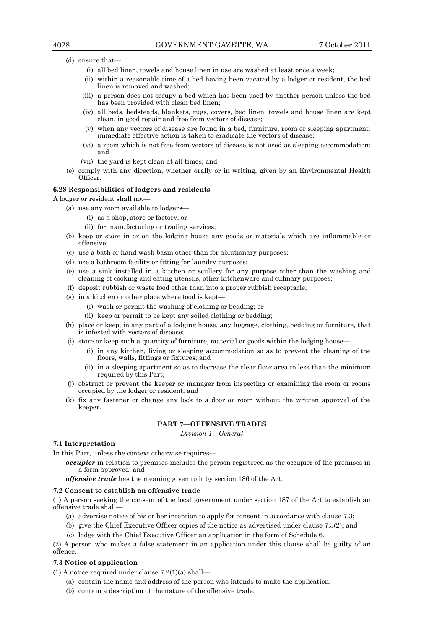- (d) ensure that—
	- (i) all bed linen, towels and house linen in use are washed at least once a week;
	- (ii) within a reasonable time of a bed having been vacated by a lodger or resident, the bed linen is removed and washed;
	- (iii) a person does not occupy a bed which has been used by another person unless the bed has been provided with clean bed linen;
	- (iv) all beds, bedsteads, blankets, rugs, covers, bed linen, towels and house linen are kept clean, in good repair and free from vectors of disease;
	- (v) when any vectors of disease are found in a bed, furniture, room or sleeping apartment, immediate effective action is taken to eradicate the vectors of disease;
	- (vi) a room which is not free from vectors of disease is not used as sleeping accommodation; and
	- (vii) the yard is kept clean at all times; and
- (e) comply with any direction, whether orally or in writing, given by an Environmental Health Officer.

## **6.28 Responsibilities of lodgers and residents**

A lodger or resident shall not—

- (a) use any room available to lodgers—
	- (i) as a shop, store or factory; or
	- (ii) for manufacturing or trading services;
- (b) keep or store in or on the lodging house any goods or materials which are inflammable or offensive;
- (c) use a bath or hand wash basin other than for ablutionary purposes;
- (d) use a bathroom facility or fitting for laundry purposes;
- (e) use a sink installed in a kitchen or scullery for any purpose other than the washing and cleaning of cooking and eating utensils, other kitchenware and culinary purposes;
- (f) deposit rubbish or waste food other than into a proper rubbish receptacle;
- (g) in a kitchen or other place where food is kept—
	- (i) wash or permit the washing of clothing or bedding; or
	- (ii) keep or permit to be kept any soiled clothing or bedding;
- (h) place or keep, in any part of a lodging house, any luggage, clothing, bedding or furniture, that is infested with vectors of disease;
- (i) store or keep such a quantity of furniture, material or goods within the lodging house—
	- (i) in any kitchen, living or sleeping accommodation so as to prevent the cleaning of the floors, walls, fittings or fixtures; and
	- (ii) in a sleeping apartment so as to decrease the clear floor area to less than the minimum required by this Part;
- (j) obstruct or prevent the keeper or manager from inspecting or examining the room or rooms occupied by the lodger or resident; and
- (k) fix any fastener or change any lock to a door or room without the written approval of the keeper.

# **PART 7—OFFENSIVE TRADES**

*Division 1—General* 

## **7.1 Interpretation**

In this Part, unless the context otherwise requires—

*occupier* in relation to premises includes the person registered as the occupier of the premises in a form approved; and

*offensive trade* has the meaning given to it by section 186 of the Act;

## **7.2 Consent to establish an offensive trade**

(1) A person seeking the consent of the local government under section 187 of the Act to establish an offensive trade shall—

- (a) advertise notice of his or her intention to apply for consent in accordance with clause 7.3;
- (b) give the Chief Executive Officer copies of the notice as advertised under clause 7.3(2); and
- (c) lodge with the Chief Executive Officer an application in the form of Schedule 6.

(2) A person who makes a false statement in an application under this clause shall be guilty of an offence.

## **7.3 Notice of application**

(1) A notice required under clause 7.2(1)(a) shall—

- (a) contain the name and address of the person who intends to make the application;
- (b) contain a description of the nature of the offensive trade;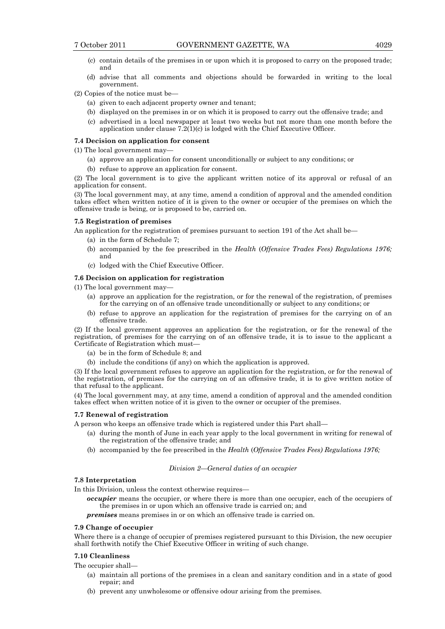- (c) contain details of the premises in or upon which it is proposed to carry on the proposed trade; and
- (d) advise that all comments and objections should be forwarded in writing to the local government.

(2) Copies of the notice must be—

- (a) given to each adjacent property owner and tenant;
- (b) displayed on the premises in or on which it is proposed to carry out the offensive trade; and
- (c) advertised in a local newspaper at least two weeks but not more than one month before the application under clause  $7.2(1)(c)$  is lodged with the Chief Executive Officer.

# **7.4 Decision on application for consent**

(1) The local government may—

- (a) approve an application for consent unconditionally or subject to any conditions; or
- (b) refuse to approve an application for consent.

(2) The local government is to give the applicant written notice of its approval or refusal of an application for consent.

(3) The local government may, at any time, amend a condition of approval and the amended condition takes effect when written notice of it is given to the owner or occupier of the premises on which the offensive trade is being, or is proposed to be, carried on.

## **7.5 Registration of premises**

An application for the registration of premises pursuant to section 191 of the Act shall be—

- (a) in the form of Schedule 7;
- (b) accompanied by the fee prescribed in the *Health* (*Offensive Trades Fees) Regulations 1976;*  and
- (c) lodged with the Chief Executive Officer.

## **7.6 Decision on application for registration**

(1) The local government may—

- (a) approve an application for the registration, or for the renewal of the registration, of premises for the carrying on of an offensive trade unconditionally or subject to any conditions; or
- (b) refuse to approve an application for the registration of premises for the carrying on of an offensive trade.

(2) If the local government approves an application for the registration, or for the renewal of the registration, of premises for the carrying on of an offensive trade, it is to issue to the applicant a Certificate of Registration which must—

- (a) be in the form of Schedule 8; and
- (b) include the conditions (if any) on which the application is approved.

(3) If the local government refuses to approve an application for the registration, or for the renewal of the registration, of premises for the carrying on of an offensive trade, it is to give written notice of that refusal to the applicant.

(4) The local government may, at any time, amend a condition of approval and the amended condition takes effect when written notice of it is given to the owner or occupier of the premises.

## **7.7 Renewal of registration**

A person who keeps an offensive trade which is registered under this Part shall—

- (a) during the month of June in each year apply to the local government in writing for renewal of the registration of the offensive trade; and
- (b) accompanied by the fee prescribed in the *Health* (*Offensive Trades Fees) Regulations 1976;*

### *Division 2—General duties of an occupier*

## **7.8 Interpretation**

In this Division, unless the context otherwise requires—

*occupier* means the occupier, or where there is more than one occupier, each of the occupiers of the premises in or upon which an offensive trade is carried on; and

*premises* means premises in or on which an offensive trade is carried on.

## **7.9 Change of occupier**

Where there is a change of occupier of premises registered pursuant to this Division, the new occupier shall forthwith notify the Chief Executive Officer in writing of such change.

# **7.10 Cleanliness**

The occupier shall—

- (a) maintain all portions of the premises in a clean and sanitary condition and in a state of good repair; and
- (b) prevent any unwholesome or offensive odour arising from the premises.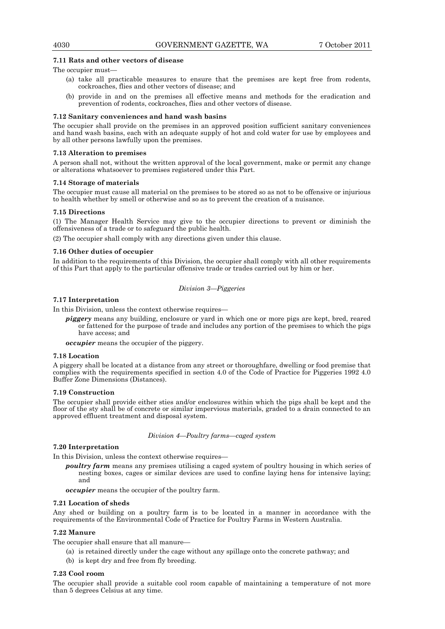# **7.11 Rats and other vectors of disease**

The occupier must—

- (a) take all practicable measures to ensure that the premises are kept free from rodents, cockroaches, flies and other vectors of disease; and
- (b) provide in and on the premises all effective means and methods for the eradication and prevention of rodents, cockroaches, flies and other vectors of disease.

## **7.12 Sanitary conveniences and hand wash basins**

The occupier shall provide on the premises in an approved position sufficient sanitary conveniences and hand wash basins, each with an adequate supply of hot and cold water for use by employees and by all other persons lawfully upon the premises.

## **7.13 Alteration to premises**

A person shall not, without the written approval of the local government, make or permit any change or alterations whatsoever to premises registered under this Part.

## **7.14 Storage of materials**

The occupier must cause all material on the premises to be stored so as not to be offensive or injurious to health whether by smell or otherwise and so as to prevent the creation of a nuisance.

## **7.15 Directions**

(1) The Manager Health Service may give to the occupier directions to prevent or diminish the offensiveness of a trade or to safeguard the public health.

(2) The occupier shall comply with any directions given under this clause.

## **7.16 Other duties of occupier**

In addition to the requirements of this Division, the occupier shall comply with all other requirements of this Part that apply to the particular offensive trade or trades carried out by him or her.

## *Division 3—Piggeries*

# **7.17 Interpretation**

In this Division, unless the context otherwise requires—

*piggery* means any building, enclosure or yard in which one or more pigs are kept, bred, reared or fattened for the purpose of trade and includes any portion of the premises to which the pigs have access; and

*occupier* means the occupier of the piggery.

## **7.18 Location**

A piggery shall be located at a distance from any street or thoroughfare, dwelling or food premise that complies with the requirements specified in section 4.0 of the Code of Practice for Piggeries 1992 4.0 Buffer Zone Dimensions (Distances).

## **7.19 Construction**

The occupier shall provide either sties and/or enclosures within which the pigs shall be kept and the floor of the sty shall be of concrete or similar impervious materials, graded to a drain connected to an approved effluent treatment and disposal system.

## *Division 4—Poultry farms—caged system*

# **7.20 Interpretation**

In this Division, unless the context otherwise requires—

*poultry farm* means any premises utilising a caged system of poultry housing in which series of nesting boxes, cages or similar devices are used to confine laying hens for intensive laying; and

*occupier* means the occupier of the poultry farm.

## **7.21 Location of sheds**

Any shed or building on a poultry farm is to be located in a manner in accordance with the requirements of the Environmental Code of Practice for Poultry Farms in Western Australia.

## **7.22 Manure**

The occupier shall ensure that all manure—

- (a) is retained directly under the cage without any spillage onto the concrete pathway; and
- (b) is kept dry and free from fly breeding.

## **7.23 Cool room**

The occupier shall provide a suitable cool room capable of maintaining a temperature of not more than 5 degrees Celsius at any time.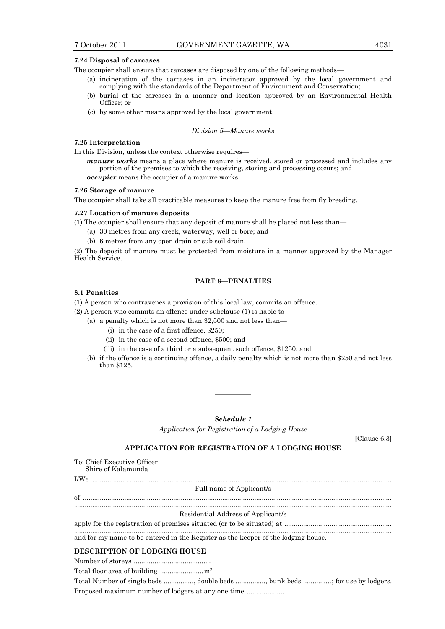## **7.24 Disposal of carcases**

The occupier shall ensure that carcases are disposed by one of the following methods—

- (a) incineration of the carcases in an incinerator approved by the local government and complying with the standards of the Department of Environment and Conservation;
- (b) burial of the carcases in a manner and location approved by an Environmental Health Officer; or
- (c) by some other means approved by the local government.

## *Division 5—Manure works*

# **7.25 Interpretation**

In this Division, unless the context otherwise requires—

*manure works* means a place where manure is received, stored or processed and includes any portion of the premises to which the receiving, storing and processing occurs; and

*occupier* means the occupier of a manure works.

## **7.26 Storage of manure**

The occupier shall take all practicable measures to keep the manure free from fly breeding.

## **7.27 Location of manure deposits**

(1) The occupier shall ensure that any deposit of manure shall be placed not less than—

- (a) 30 metres from any creek, waterway, well or bore; and
- (b) 6 metres from any open drain or sub soil drain.

(2) The deposit of manure must be protected from moisture in a manner approved by the Manager Health Service.

# **PART 8—PENALTIES**

# **8.1 Penalties**

(1) A person who contravenes a provision of this local law, commits an offence.

(2) A person who commits an offence under subclause (1) is liable to—

- (a) a penalty which is not more than \$2,500 and not less than—
	- (i) in the case of a first offence, \$250;
	- (ii) in the case of a second offence, \$500; and
	- (iii) in the case of a third or a subsequent such offence, \$1250; and
- (b) if the offence is a continuing offence, a daily penalty which is not more than \$250 and not less than \$125.

## *Schedule 1*

————

*Application for Registration of a Lodging House* 

[Clause 6.3]

# **APPLICATION FOR REGISTRATION OF A LODGING HOUSE**

| To: Chief Executive Officer<br>Shire of Kalamunda                                 |
|-----------------------------------------------------------------------------------|
|                                                                                   |
| Full name of Applicant/s                                                          |
|                                                                                   |
| Residential Address of Applicant/s                                                |
|                                                                                   |
| and for my name to be entered in the Register as the keeper of the lodging house. |
| <b>DESCRIPTION OF LODGING HOUSE</b>                                               |
|                                                                                   |
|                                                                                   |
| Total Number of single beds , double beds , bunk beds ; for use by lodgers.       |

Proposed maximum number of lodgers at any one time ....................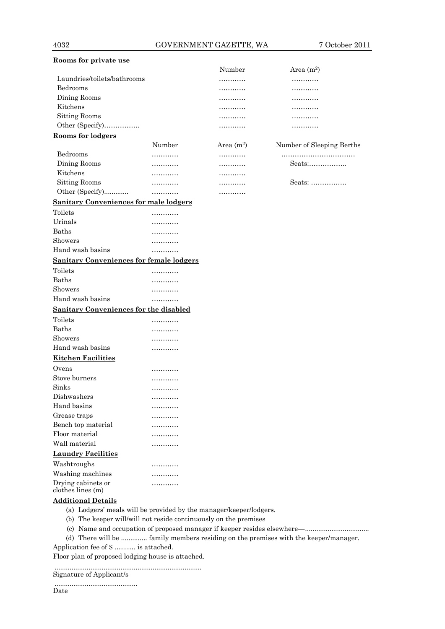| Rooms for private use                         |        |              |                           |
|-----------------------------------------------|--------|--------------|---------------------------|
|                                               |        | Number       | Area $(m^2)$              |
| Laundries/toilets/bathrooms                   |        |              |                           |
| Bedrooms                                      |        |              |                           |
| Dining Rooms                                  |        |              |                           |
| Kitchens                                      |        |              |                           |
| Sitting Rooms                                 |        |              |                           |
| Other (Specify)                               |        |              |                           |
| <u>Rooms for lodgers</u>                      |        |              |                           |
|                                               | Number | Area $(m^2)$ | Number of Sleeping Berths |
| Bedrooms                                      |        |              |                           |
| Dining Rooms                                  |        |              | Seats:                    |
| Kitchens                                      |        |              |                           |
| <b>Sitting Rooms</b>                          | .      |              | Seats:                    |
| Other (Specify)                               | .      |              |                           |
| <b>Sanitary Conveniences for male lodgers</b> |        |              |                           |
| Toilets                                       |        |              |                           |
| Urinals                                       |        |              |                           |
| <b>Baths</b>                                  |        |              |                           |
| Showers                                       | .      |              |                           |

Hand wash basins ………… **Sanitary Conveniences for female lodgers** Toilets ………… Baths ………… Showers ………… Hand wash basins ………… **Sanitary Conveniences for the disabled** Toilets ………… Baths ………… Showers ………… Hand wash basins …………

| <b>Kitchen Facilities</b> |   |
|---------------------------|---|
| Ovens                     |   |
| Stove burners             |   |
| Sinks                     | . |
| Dishwashers               |   |
| Hand basins               |   |
| Grease traps              | . |
| Bench top material        |   |
| Floor material            |   |
| Wall material             |   |
| <b>Laundry Facilities</b> |   |
| Washtroughs               |   |
| Washing machines          |   |
| Drying cabinets or        |   |

## **Additional Details**

clothes lines (m)

- (a) Lodgers' meals will be provided by the manager/keeper/lodgers.
- (b) The keeper will/will not reside continuously on the premises
- (c) Name and occupation of proposed manager if keeper resides elsewhere—..................................
- (d) There will be .............. family members residing on the premises with the keeper/manager.

Application fee of \$ .…..…. is attached.

Floor plan of proposed lodging house is attached.

.............................................................................. Signature of Applicant/s

|  | . . |  |
|--|-----|--|
|  |     |  |
|  |     |  |
|  |     |  |

Date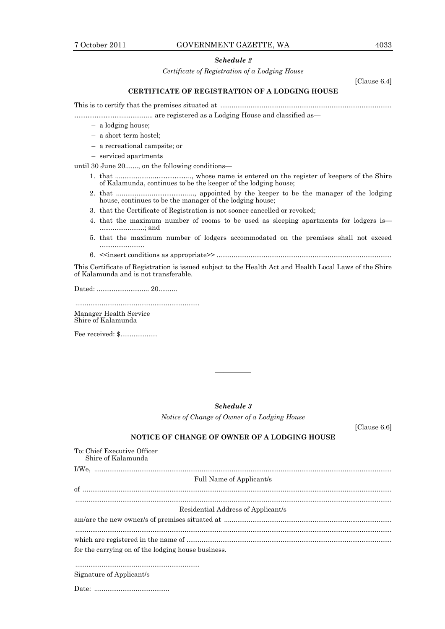# *Schedule 2*

*Certificate of Registration of a Lodging House* 

[Clause 6.4]

# **CERTIFICATE OF REGISTRATION OF A LODGING HOUSE**

This is to certify that the premises situated at ...........................................................................................

…………………................. are registered as a Lodging House and classified as—

- a lodging house;
- a short term hostel;
- a recreational campsite; or
- serviced apartments

until 30 June 20......., on the following conditions—

- 1. that .....................…………….., whose name is entered on the register of keepers of the Shire of Kalamunda, continues to be the keeper of the lodging house;
- 2. that ....................……………...., appointed by the keeper to be the manager of the lodging house, continues to be the manager of the lodging house;
- 3. that the Certificate of Registration is not sooner cancelled or revoked;
- 4. that the maximum number of rooms to be used as sleeping apartments for lodgers is— ........................; and
- 5. that the maximum number of lodgers accommodated on the premises shall not exceed ........................
- 6. <<insert conditions as appropriate>> .............................................................................................

This Certificate of Registration is issued subject to the Health Act and Health Local Laws of the Shire of Kalamunda and is not transferable.

Dated: ............................ 20..........

.................................................................. Manager Health Service Shire of Kalamunda

Fee received: \$....................

*Schedule 3* 

————

*Notice of Change of Owner of a Lodging House* 

[Clause 6.6]

# **NOTICE OF CHANGE OF OWNER OF A LODGING HOUSE**

| To: Chief Executive Officer<br>Shire of Kalamunda  |
|----------------------------------------------------|
|                                                    |
| Full Name of Applicant/s                           |
|                                                    |
| Residential Address of Applicant/s                 |
|                                                    |
|                                                    |
| for the carrying on of the lodging house business. |
|                                                    |
| Signature of Applicant/s                           |
|                                                    |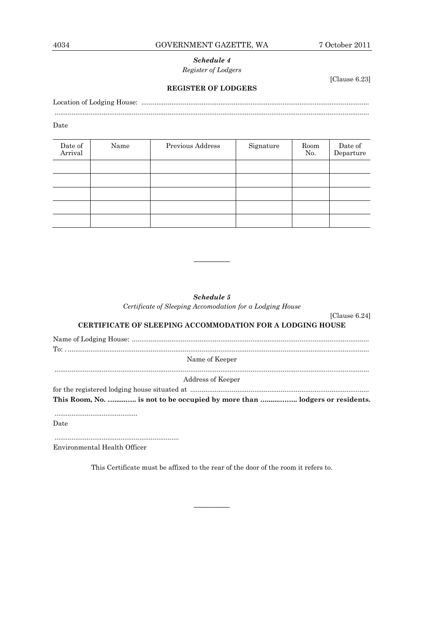# *Schedule 4 Register of Lodgers*

[Clause 6.23]

[Clause 6.24]

# **REGISTER OF LODGERS**

Location of Lodging House: ......................................................................................................................... .......................................................................................................................................................................

Date

| Date of<br>Arrival | Name | Previous Address | Signature | Room<br>No. | Date of<br>Departure |
|--------------------|------|------------------|-----------|-------------|----------------------|
|                    |      |                  |           |             |                      |
|                    |      |                  |           |             |                      |
|                    |      |                  |           |             |                      |
|                    |      |                  |           |             |                      |
|                    |      |                  |           |             |                      |

*Schedule 5* 

————

*Certificate of Sleeping Accomodation for a Lodging House* 

| <b>CERTIFICATE OF SLEEPING ACCOMMODATION FOR A LODGING HOUSE</b> |
|------------------------------------------------------------------|
|                                                                  |
|                                                                  |

Name of Keeper .......................................................................................................................................................................

Address of Keeper

for the registered lodging house situated at ............................................................................................... **This Room, No. …......….. is not to be occupied by more than ….......…….. lodgers or residents.** 

............................................

Date

..................................................................

Environmental Health Officer

This Certificate must be affixed to the rear of the door of the room it refers to.

————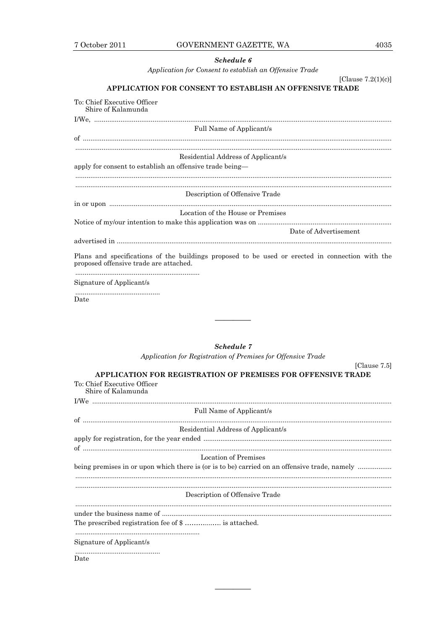# 4035

# Schedule 6

Application for Consent to establish an Offensive Trade

[Clause  $7.2(1)(c)$ ]

[Clause 7.5]

# APPLICATION FOR CONSENT TO ESTABLISH AN OFFENSIVE TRADE

| To: Chief Executive Officer<br>Shire of Kalamunda                                                                                         |
|-------------------------------------------------------------------------------------------------------------------------------------------|
|                                                                                                                                           |
| Full Name of Applicant/s                                                                                                                  |
|                                                                                                                                           |
| Residential Address of Applicant/s                                                                                                        |
| apply for consent to establish an offensive trade being-                                                                                  |
|                                                                                                                                           |
| Description of Offensive Trade                                                                                                            |
|                                                                                                                                           |
| Location of the House or Premises                                                                                                         |
|                                                                                                                                           |
| Date of Advertisement                                                                                                                     |
|                                                                                                                                           |
| Plans and specifications of the buildings proposed to be used or erected in connection with the<br>proposed offensive trade are attached. |
|                                                                                                                                           |
| Signature of Applicant/s                                                                                                                  |
| Date                                                                                                                                      |

# **Schedule 7**

Application for Registration of Premises for Offensive Trade

| <b>APPLICATION FOR REGISTRATION OF PREMISES FOR OFFENSIVE TRADE</b>                          |  |  |  |  |
|----------------------------------------------------------------------------------------------|--|--|--|--|
| To: Chief Executive Officer<br>Shire of Kalamunda                                            |  |  |  |  |
|                                                                                              |  |  |  |  |
| Full Name of Applicant/s                                                                     |  |  |  |  |
|                                                                                              |  |  |  |  |
| Residential Address of Applicant/s                                                           |  |  |  |  |
|                                                                                              |  |  |  |  |
|                                                                                              |  |  |  |  |
| <b>Location of Premises</b>                                                                  |  |  |  |  |
| being premises in or upon which there is (or is to be) carried on an offensive trade, namely |  |  |  |  |
|                                                                                              |  |  |  |  |
|                                                                                              |  |  |  |  |
| Description of Offensive Trade                                                               |  |  |  |  |
|                                                                                              |  |  |  |  |
| The prescribed registration fee of \$  is attached.                                          |  |  |  |  |
|                                                                                              |  |  |  |  |
|                                                                                              |  |  |  |  |
| Signature of Applicant/s                                                                     |  |  |  |  |
| Date                                                                                         |  |  |  |  |